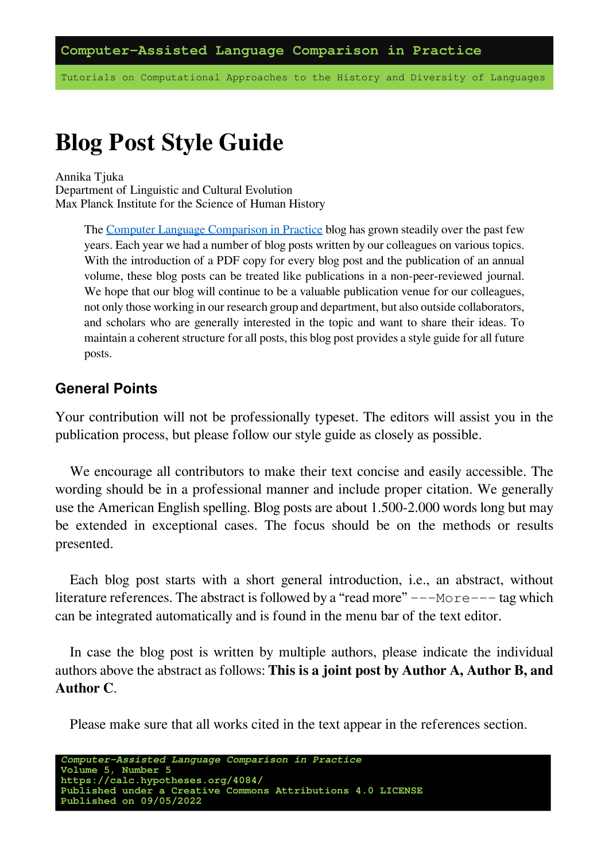Tutorials on Computational Approaches to the History and Diversity of Languages

# **Blog Post Style Guide**

Annika Tjuka Department of Linguistic and Cultural Evolution Max Planck Institute for the Science of Human History

> The [Computer Language Comparison in Practice](https://calc.hypotheses.org/) blog has grown steadily over the past few years. Each year we had a number of blog posts written by our colleagues on various topics. With the introduction of a PDF copy for every blog post and the publication of an annual volume, these blog posts can be treated like publications in a non-peer-reviewed journal. We hope that our blog will continue to be a valuable publication venue for our colleagues, not only those working in our research group and department, but also outside collaborators, and scholars who are generally interested in the topic and want to share their ideas. To maintain a coherent structure for all posts, this blog post provides a style guide for all future posts.

#### **General Points**

Your contribution will not be professionally typeset. The editors will assist you in the publication process, but please follow our style guide as closely as possible.

We encourage all contributors to make their text concise and easily accessible. The wording should be in a professional manner and include proper citation. We generally use the American English spelling. Blog posts are about 1.500-2.000 words long but may be extended in exceptional cases. The focus should be on the methods or results presented.

Each blog post starts with a short general introduction, i.e., an abstract, without literature references. The abstract is followed by a "read more"  $---$ More $---$  tag which can be integrated automatically and is found in the menu bar of the text editor.

In case the blog post is written by multiple authors, please indicate the individual authors above the abstract as follows: **This is a joint post by Author A, Author B, and Author C**.

Please make sure that all works cited in the text appear in the references section.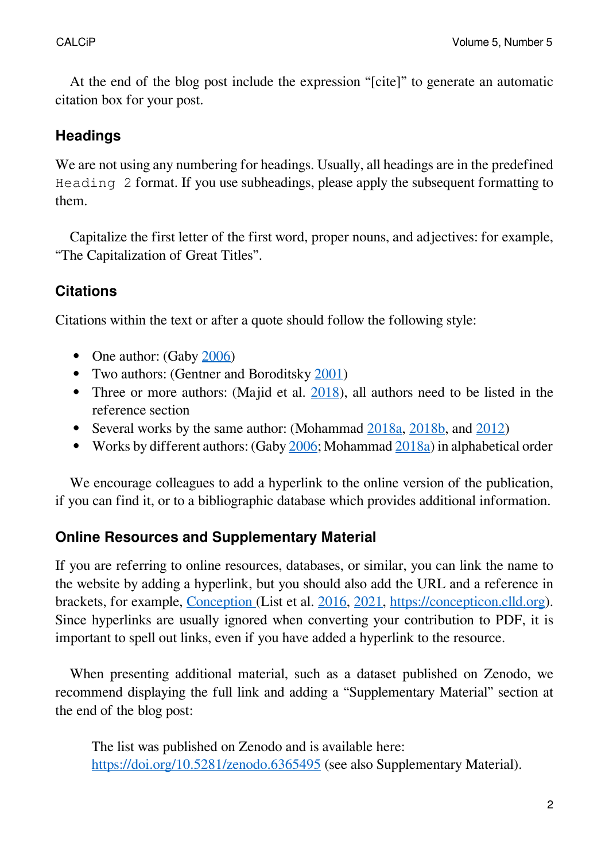At the end of the blog post include the expression "[cite]" to generate an automatic citation box for your post.

### **Headings**

We are not using any numbering for headings. Usually, all headings are in the predefined Heading 2 format. If you use subheadings, please apply the subsequent formatting to them.

Capitalize the first letter of the first word, proper nouns, and adjectives: for example, "The Capitalization of Great Titles".

# **Citations**

Citations within the text or after a quote should follow the following style:

- One author: (Gaby  $2006$ )
- Two authors: (Gentner and Boroditsky [2001\)](http://doi.org/10.1017/CBO9780511620669.010)
- Three or more authors: (Majid et al.  $\frac{2018}{10}$ ), all authors need to be listed in the reference section
- Several works by the same author: (Mohammad [2018a](https://aclanthology.org/P18-1017), [2018b](https://www.aclweb.org/anthology/L18-1027), and [2012\)](https://aclanthology.org/S12-1033.pdf)
- Works by different authors: (Gaby [2006](https://doi.org/10.1016/j.langsci.2005.11.006); Mohammad [2018a\)](https://aclanthology.org/P18-1017) in alphabetical order

We encourage colleagues to add a hyperlink to the online version of the publication, if you can find it, or to a bibliographic database which provides additional information.

# **Online Resources and Supplementary Material**

If you are referring to online resources, databases, or similar, you can link the name to the website by adding a hyperlink, but you should also add the URL and a reference in brackets, for example, [Conception](https://github.com/concepticon/concepticon-data) (List et al. [2016,](https://aclanthology.org/L16-1379/) [2021](https://doi.org/10.5281/zenodo.596412), [https://concepticon.clld.org\)](https://concepticon.clld.org). Since hyperlinks are usually ignored when converting your contribution to PDF, it is important to spell out links, even if you have added a hyperlink to the resource.

When presenting additional material, such as a dataset published on Zenodo, we recommend displaying the full link and adding a "Supplementary Material" section at the end of the blog post:

The list was published on Zenodo and is available here: <https://doi.org/10.5281/zenodo.6365495> (see also Supplementary Material).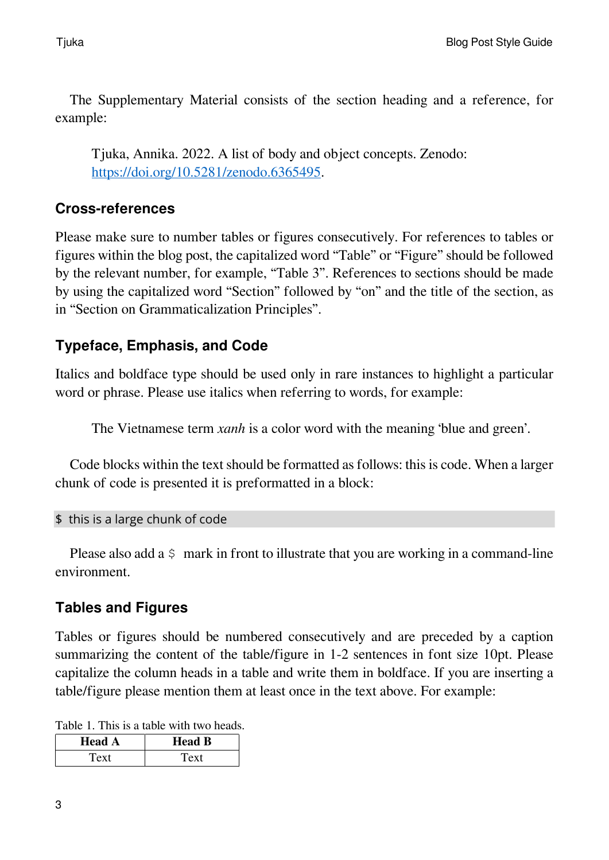The Supplementary Material consists of the section heading and a reference, for example:

Tjuka, Annika. 2022. A list of body and object concepts. Zenodo: [https://doi.org/10.5281/zenodo.6365495.](https://doi.org/10.5281/zenodo.6365495)

#### **Cross-references**

Please make sure to number tables or figures consecutively. For references to tables or figures within the blog post, the capitalized word "Table" or "Figure" should be followed by the relevant number, for example, "Table 3". References to sections should be made by using the capitalized word "Section" followed by "on" and the title of the section, as in "Section on Grammaticalization Principles".

# **Typeface, Emphasis, and Code**

Italics and boldface type should be used only in rare instances to highlight a particular word or phrase. Please use italics when referring to words, for example:

The Vietnamese term *xanh* is a color word with the meaning 'blue and green'.

Code blocks within the text should be formatted as follows: this is code. When a larger chunk of code is presented it is preformatted in a block:

\$ this is a large chunk of code

Please also add a  $\varsigma$  mark in front to illustrate that you are working in a command-line environment.

# **Tables and Figures**

Tables or figures should be numbered consecutively and are preceded by a caption summarizing the content of the table/figure in 1-2 sentences in font size 10pt. Please capitalize the column heads in a table and write them in boldface. If you are inserting a table/figure please mention them at least once in the text above. For example:

Table 1. This is a table with two heads.

| <b>Head A</b> | <b>Head B</b> |
|---------------|---------------|
| Text          | Text          |